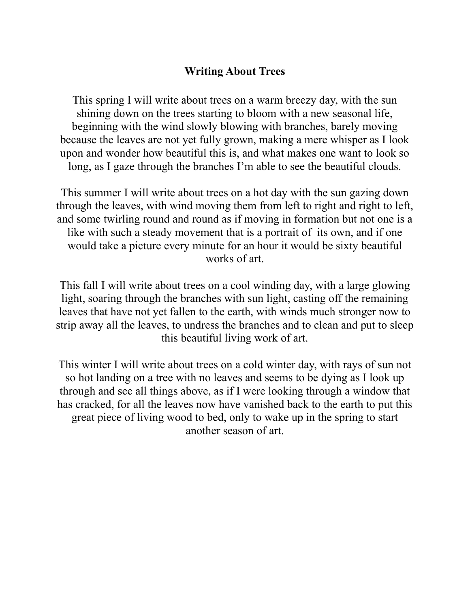## **Writing About Trees**

This spring I will write about trees on a warm breezy day, with the sun shining down on the trees starting to bloom with a new seasonal life, beginning with the wind slowly blowing with branches, barely moving because the leaves are not yet fully grown, making a mere whisper as I look upon and wonder how beautiful this is, and what makes one want to look so long, as I gaze through the branches I'm able to see the beautiful clouds.

This summer I will write about trees on a hot day with the sun gazing down through the leaves, with wind moving them from left to right and right to left, and some twirling round and round as if moving in formation but not one is a like with such a steady movement that is a portrait of its own, and if one would take a picture every minute for an hour it would be sixty beautiful works of art.

This fall I will write about trees on a cool winding day, with a large glowing light, soaring through the branches with sun light, casting off the remaining leaves that have not yet fallen to the earth, with winds much stronger now to strip away all the leaves, to undress the branches and to clean and put to sleep this beautiful living work of art.

This winter I will write about trees on a cold winter day, with rays of sun not so hot landing on a tree with no leaves and seems to be dying as I look up through and see all things above, as if I were looking through a window that has cracked, for all the leaves now have vanished back to the earth to put this great piece of living wood to bed, only to wake up in the spring to start another season of art.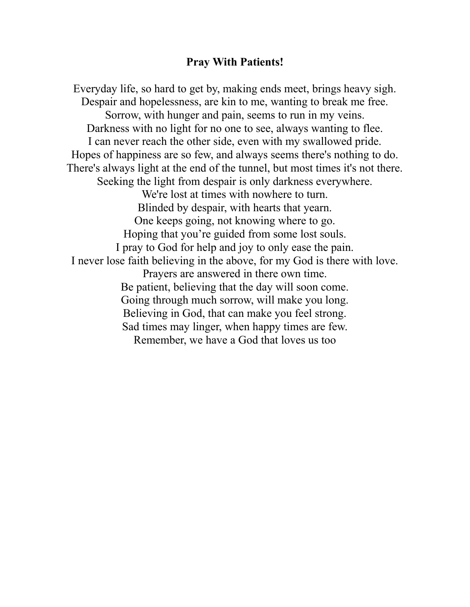## **Pray With Patients!**

Everyday life, so hard to get by, making ends meet, brings heavy sigh. Despair and hopelessness, are kin to me, wanting to break me free. Sorrow, with hunger and pain, seems to run in my veins. Darkness with no light for no one to see, always wanting to flee. I can never reach the other side, even with my swallowed pride. Hopes of happiness are so few, and always seems there's nothing to do. There's always light at the end of the tunnel, but most times it's not there. Seeking the light from despair is only darkness everywhere. We're lost at times with nowhere to turn. Blinded by despair, with hearts that yearn. One keeps going, not knowing where to go. Hoping that you're guided from some lost souls. I pray to God for help and joy to only ease the pain. I never lose faith believing in the above, for my God is there with love. Prayers are answered in there own time. Be patient, believing that the day will soon come. Going through much sorrow, will make you long. Believing in God, that can make you feel strong. Sad times may linger, when happy times are few. Remember, we have a God that loves us too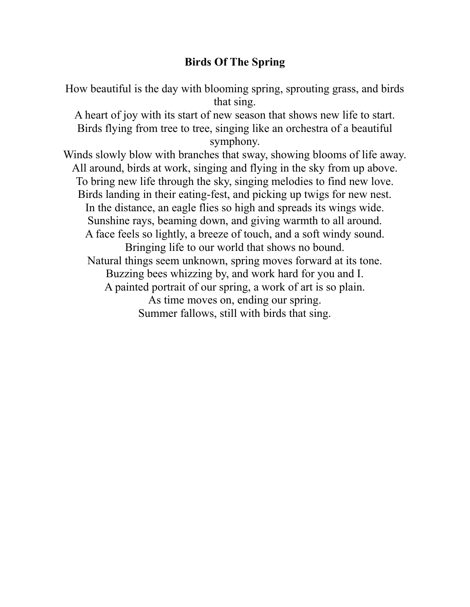## **Birds Of The Spring**

How beautiful is the day with blooming spring, sprouting grass, and birds that sing.

A heart of joy with its start of new season that shows new life to start. Birds flying from tree to tree, singing like an orchestra of a beautiful symphony.

Winds slowly blow with branches that sway, showing blooms of life away. All around, birds at work, singing and flying in the sky from up above. To bring new life through the sky, singing melodies to find new love. Birds landing in their eating-fest, and picking up twigs for new nest. In the distance, an eagle flies so high and spreads its wings wide. Sunshine rays, beaming down, and giving warmth to all around. A face feels so lightly, a breeze of touch, and a soft windy sound. Bringing life to our world that shows no bound. Natural things seem unknown, spring moves forward at its tone. Buzzing bees whizzing by, and work hard for you and I. A painted portrait of our spring, a work of art is so plain. As time moves on, ending our spring. Summer fallows, still with birds that sing.